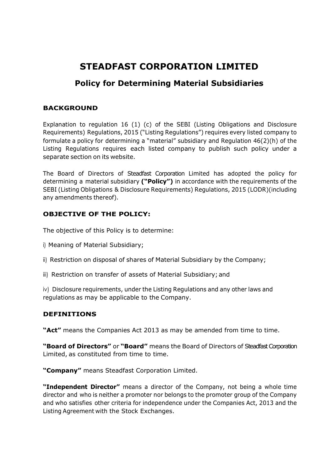# **STEADFAST CORPORATION LIMITED**

# **Policy for Determining Material Subsidiaries**

### **BACKGROUND**

Explanation to regulation 16 (1) (c) of the SEBI (Listing Obligations and Disclosure Requirements) Regulations, 2015 ("Listing Regulations") requires every listed company to formulate a policy for determining a "material" subsidiary and Regulation 46(2)(h) of the Listing Regulations requires each listed company to publish such policy under a separate section on its website.

The Board of Directors of Steadfast Corporation Limited has adopted the policy for determining a material subsidiary **("Policy")** in accordance with the requirements of the SEBI (Listing Obligations & Disclosure Requirements) Regulations, 2015 (LODR)(including any amendments thereof).

# **OBJECTIVE OF THE POLICY:**

The objective of this Policy is to determine:

- i) Meaning of Material Subsidiary;
- ii) Restriction on disposal of shares of Material Subsidiary by the Company;
- iii) Restriction on transfer of assets of Material Subsidiary; and

iv) Disclosure requirements, under the Listing Regulations and any other laws and regulations as may be applicable to the Company.

# **DEFINITIONS**

**"Act"** means the Companies Act 2013 as may be amended from time to time.

**"Board of Directors"** or **"Board"** means the Board of Directors of Steadfast Corporation Limited, as constituted from time to time.

**"Company"** means Steadfast Corporation Limited.

**"Independent Director"** means a director of the Company, not being a whole time director and who is neither a promoter nor belongs to the promoter group of the Company and who satisfies other criteria for independence under the Companies Act, 2013 and the Listing Agreement with the Stock Exchanges.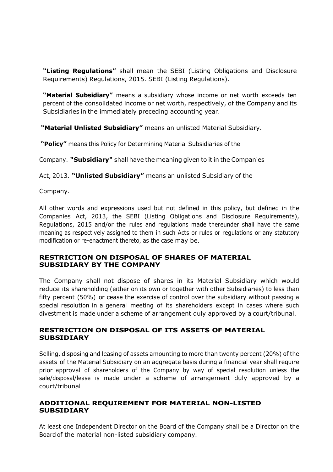**"Listing Regulations"** shall mean the SEBI (Listing Obligations and Disclosure Requirements) Regulations, 2015. SEBI (Listing Regulations).

**"Material Subsidiary"** means a subsidiary whose income or net worth exceeds ten percent of the consolidated income or net worth, respectively, of the Company and its Subsidiaries in the immediately preceding accounting year.

**"Material Unlisted Subsidiary"** means an unlisted Material Subsidiary.

**"Policy"** means this Policy for Determining Material Subsidiaries of the

Company. **"Subsidiary"** shall have the meaning given to it in the Companies

Act, 2013. **"Unlisted Subsidiary"** means an unlisted Subsidiary of the

Company.

All other words and expressions used but not defined in this policy, but defined in the Companies Act, 2013, the SEBI (Listing Obligations and Disclosure Requirements), Regulations, 2015 and/or the rules and regulations made thereunder shall have the same meaning as respectively assigned to them in such Acts or rules or regulations or any statutory modification or re-enactment thereto, as the case may be.

#### **RESTRICTION ON DISPOSAL OF SHARES OF MATERIAL SUBSIDIARY BY THE COMPANY**

The Company shall not dispose of shares in its Material Subsidiary which would reduce its shareholding (either on its own or together with other Subsidiaries) to less than fifty percent (50%) or cease the exercise of control over the subsidiary without passing a special resolution in a general meeting of its shareholders except in cases where such divestment is made under a scheme of arrangement duly approved by a court/tribunal.

#### **RESTRICTION ON DISPOSAL OF ITS ASSETS OF MATERIAL SUBSIDIARY**

Selling, disposing and leasing of assets amounting to more than twenty percent (20%) of the assets of the Material Subsidiary on an aggregate basis during a financial year shall require prior approval of shareholders of the Company by way of special resolution unless the sale/disposal/lease is made under a scheme of arrangement duly approved by a court/tribunal

#### **ADDITIONAL REQUIREMENT FOR MATERIAL NON-LISTED SUBSIDIARY**

At least one Independent Director on the Board of the Company shall be a Director on the Board of the material non-listed subsidiary company.